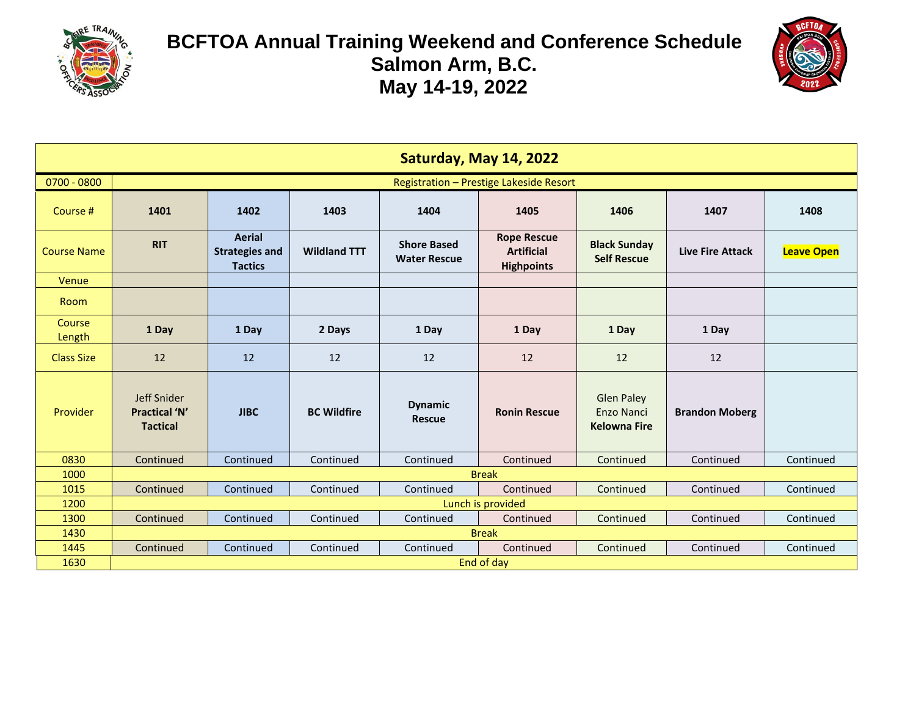



| Saturday, May 14, 2022 |                                                        |                                                          |                     |                                           |                                                              |                                                               |                         |                   |  |
|------------------------|--------------------------------------------------------|----------------------------------------------------------|---------------------|-------------------------------------------|--------------------------------------------------------------|---------------------------------------------------------------|-------------------------|-------------------|--|
| $0700 - 0800$          | Registration - Prestige Lakeside Resort                |                                                          |                     |                                           |                                                              |                                                               |                         |                   |  |
| Course #               | 1401                                                   | 1402<br>1403<br>1404<br>1405<br>1406<br>1407             |                     |                                           |                                                              |                                                               |                         | 1408              |  |
| <b>Course Name</b>     | <b>RIT</b>                                             | <b>Aerial</b><br><b>Strategies and</b><br><b>Tactics</b> | <b>Wildland TTT</b> | <b>Shore Based</b><br><b>Water Rescue</b> | <b>Rope Rescue</b><br><b>Artificial</b><br><b>Highpoints</b> | <b>Black Sunday</b><br><b>Self Rescue</b>                     | <b>Live Fire Attack</b> | <b>Leave Open</b> |  |
| Venue                  |                                                        |                                                          |                     |                                           |                                                              |                                                               |                         |                   |  |
| Room                   |                                                        |                                                          |                     |                                           |                                                              |                                                               |                         |                   |  |
| Course<br>Length       | 1 Day                                                  | 1 Day                                                    | 2 Days              | 1 Day                                     | 1 Day                                                        | 1 Day                                                         | 1 Day                   |                   |  |
| <b>Class Size</b>      | 12                                                     | 12                                                       | 12                  | 12                                        | 12                                                           | 12                                                            | 12                      |                   |  |
| Provider               | Jeff Snider<br><b>Practical 'N'</b><br><b>Tactical</b> | <b>JIBC</b>                                              | <b>BC Wildfire</b>  | <b>Dynamic</b><br><b>Rescue</b>           | <b>Ronin Rescue</b>                                          | <b>Glen Paley</b><br><b>Enzo Nanci</b><br><b>Kelowna Fire</b> | <b>Brandon Moberg</b>   |                   |  |
| 0830                   | Continued                                              | Continued                                                | Continued           | Continued                                 | Continued                                                    | Continued                                                     | Continued               | Continued         |  |
| 1000                   |                                                        |                                                          |                     |                                           | <b>Break</b>                                                 |                                                               |                         |                   |  |
| 1015                   | Continued                                              | Continued                                                | Continued           | Continued                                 | Continued                                                    | Continued                                                     | Continued               | Continued         |  |
| 1200                   |                                                        |                                                          |                     |                                           | Lunch is provided                                            |                                                               |                         |                   |  |
| 1300                   | Continued                                              | Continued                                                | Continued           | Continued                                 | Continued                                                    | Continued                                                     | Continued               | Continued         |  |
| 1430                   |                                                        |                                                          |                     |                                           | <b>Break</b>                                                 |                                                               |                         |                   |  |
| 1445                   | Continued                                              | Continued                                                | Continued           | Continued                                 | Continued                                                    | Continued                                                     | Continued               | Continued         |  |
| 1630                   | End of day                                             |                                                          |                     |                                           |                                                              |                                                               |                         |                   |  |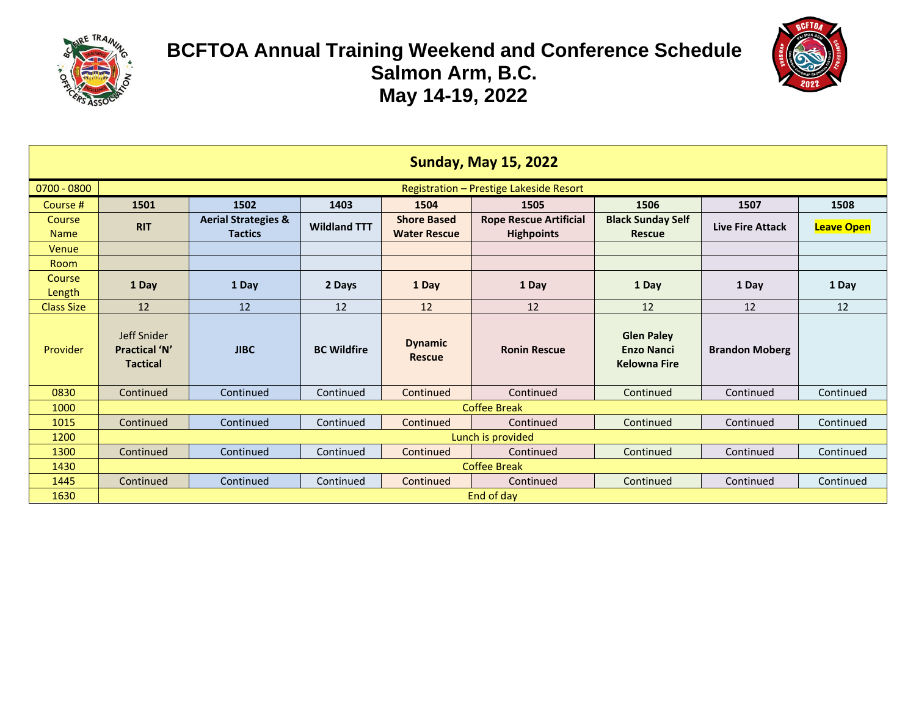



| <b>Sunday, May 15, 2022</b> |                                                              |                                                  |                     |                                           |                                                    |                                                               |                         |                   |  |  |
|-----------------------------|--------------------------------------------------------------|--------------------------------------------------|---------------------|-------------------------------------------|----------------------------------------------------|---------------------------------------------------------------|-------------------------|-------------------|--|--|
| $0700 - 0800$               | Registration - Prestige Lakeside Resort                      |                                                  |                     |                                           |                                                    |                                                               |                         |                   |  |  |
| Course #                    | 1502<br>1403<br>1505<br>1506<br>1508<br>1501<br>1504<br>1507 |                                                  |                     |                                           |                                                    |                                                               |                         |                   |  |  |
| Course<br><b>Name</b>       | <b>RIT</b>                                                   | <b>Aerial Strategies &amp;</b><br><b>Tactics</b> | <b>Wildland TTT</b> | <b>Shore Based</b><br><b>Water Rescue</b> | <b>Rope Rescue Artificial</b><br><b>Highpoints</b> | <b>Black Sunday Self</b><br><b>Rescue</b>                     | <b>Live Fire Attack</b> | <b>Leave Open</b> |  |  |
| Venue                       |                                                              |                                                  |                     |                                           |                                                    |                                                               |                         |                   |  |  |
| <b>Room</b>                 |                                                              |                                                  |                     |                                           |                                                    |                                                               |                         |                   |  |  |
| <b>Course</b><br>Length     | 1 Day                                                        | 1 Day                                            | 2 Days              | 1 Day                                     | 1 Day                                              | 1 Day                                                         | 1 Day                   | 1 Day             |  |  |
| <b>Class Size</b>           | 12                                                           | 12                                               | 12                  | 12                                        | 12                                                 | 12                                                            | 12                      | 12                |  |  |
| Provider                    | Jeff Snider<br><b>Practical 'N'</b><br><b>Tactical</b>       | <b>JIBC</b>                                      | <b>BC Wildfire</b>  | <b>Dynamic</b><br><b>Rescue</b>           | <b>Ronin Rescue</b>                                | <b>Glen Paley</b><br><b>Enzo Nanci</b><br><b>Kelowna Fire</b> | <b>Brandon Moberg</b>   |                   |  |  |
| 0830                        | Continued                                                    | Continued                                        | Continued           | Continued                                 | Continued                                          | Continued                                                     | Continued               | Continued         |  |  |
| 1000                        |                                                              |                                                  |                     |                                           | <b>Coffee Break</b>                                |                                                               |                         |                   |  |  |
| 1015                        | Continued                                                    | Continued                                        | Continued           | Continued                                 | Continued                                          | Continued                                                     | Continued               | Continued         |  |  |
| 1200                        | Lunch is provided                                            |                                                  |                     |                                           |                                                    |                                                               |                         |                   |  |  |
| 1300                        | Continued                                                    | Continued                                        | Continued           | Continued                                 | Continued                                          | Continued                                                     | Continued               | Continued         |  |  |
| 1430                        | <b>Coffee Break</b>                                          |                                                  |                     |                                           |                                                    |                                                               |                         |                   |  |  |
| 1445                        | Continued                                                    | Continued                                        | Continued           | Continued                                 | Continued                                          | Continued                                                     | Continued               | Continued         |  |  |
| 1630                        | End of day                                                   |                                                  |                     |                                           |                                                    |                                                               |                         |                   |  |  |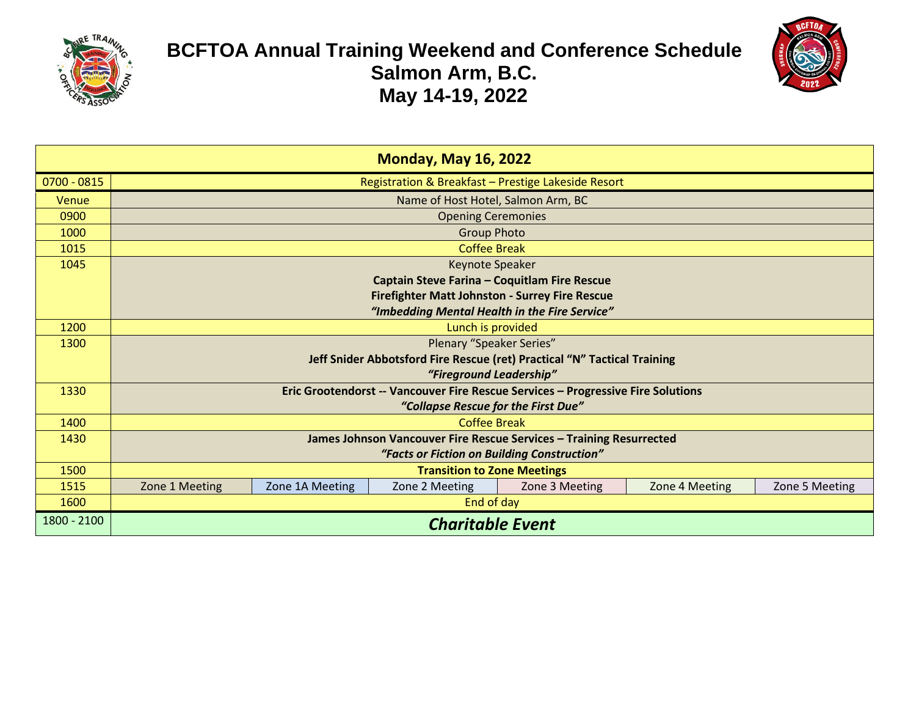



| <b>Monday, May 16, 2022</b> |                                                                                  |                 |                                                       |                                                                     |                |                |  |  |  |  |  |
|-----------------------------|----------------------------------------------------------------------------------|-----------------|-------------------------------------------------------|---------------------------------------------------------------------|----------------|----------------|--|--|--|--|--|
| $0700 - 0815$               | Registration & Breakfast - Prestige Lakeside Resort                              |                 |                                                       |                                                                     |                |                |  |  |  |  |  |
| Venue                       | Name of Host Hotel, Salmon Arm, BC                                               |                 |                                                       |                                                                     |                |                |  |  |  |  |  |
| 0900                        | <b>Opening Ceremonies</b>                                                        |                 |                                                       |                                                                     |                |                |  |  |  |  |  |
| 1000                        |                                                                                  |                 | <b>Group Photo</b>                                    |                                                                     |                |                |  |  |  |  |  |
| 1015                        |                                                                                  |                 | <b>Coffee Break</b>                                   |                                                                     |                |                |  |  |  |  |  |
| 1045                        |                                                                                  |                 | Keynote Speaker                                       |                                                                     |                |                |  |  |  |  |  |
|                             |                                                                                  |                 | Captain Steve Farina - Coquitlam Fire Rescue          |                                                                     |                |                |  |  |  |  |  |
|                             |                                                                                  |                 | <b>Firefighter Matt Johnston - Surrey Fire Rescue</b> |                                                                     |                |                |  |  |  |  |  |
|                             |                                                                                  |                 | "Imbedding Mental Health in the Fire Service"         |                                                                     |                |                |  |  |  |  |  |
| 1200                        |                                                                                  |                 | Lunch is provided                                     |                                                                     |                |                |  |  |  |  |  |
| 1300                        | Plenary "Speaker Series"                                                         |                 |                                                       |                                                                     |                |                |  |  |  |  |  |
|                             | Jeff Snider Abbotsford Fire Rescue (ret) Practical "N" Tactical Training         |                 |                                                       |                                                                     |                |                |  |  |  |  |  |
|                             | "Fireground Leadership"                                                          |                 |                                                       |                                                                     |                |                |  |  |  |  |  |
| 1330                        | Eric Grootendorst -- Vancouver Fire Rescue Services - Progressive Fire Solutions |                 |                                                       |                                                                     |                |                |  |  |  |  |  |
|                             |                                                                                  |                 | "Collapse Rescue for the First Due"                   |                                                                     |                |                |  |  |  |  |  |
| 1400                        |                                                                                  |                 | <b>Coffee Break</b>                                   |                                                                     |                |                |  |  |  |  |  |
| 1430                        |                                                                                  |                 |                                                       | James Johnson Vancouver Fire Rescue Services - Training Resurrected |                |                |  |  |  |  |  |
|                             |                                                                                  |                 | "Facts or Fiction on Building Construction"           |                                                                     |                |                |  |  |  |  |  |
| 1500                        | <b>Transition to Zone Meetings</b>                                               |                 |                                                       |                                                                     |                |                |  |  |  |  |  |
| 1515                        | Zone 1 Meeting                                                                   | Zone 1A Meeting | Zone 2 Meeting                                        | Zone 3 Meeting                                                      | Zone 4 Meeting | Zone 5 Meeting |  |  |  |  |  |
| 1600                        | End of day                                                                       |                 |                                                       |                                                                     |                |                |  |  |  |  |  |
| 1800 - 2100                 | <b>Charitable Event</b>                                                          |                 |                                                       |                                                                     |                |                |  |  |  |  |  |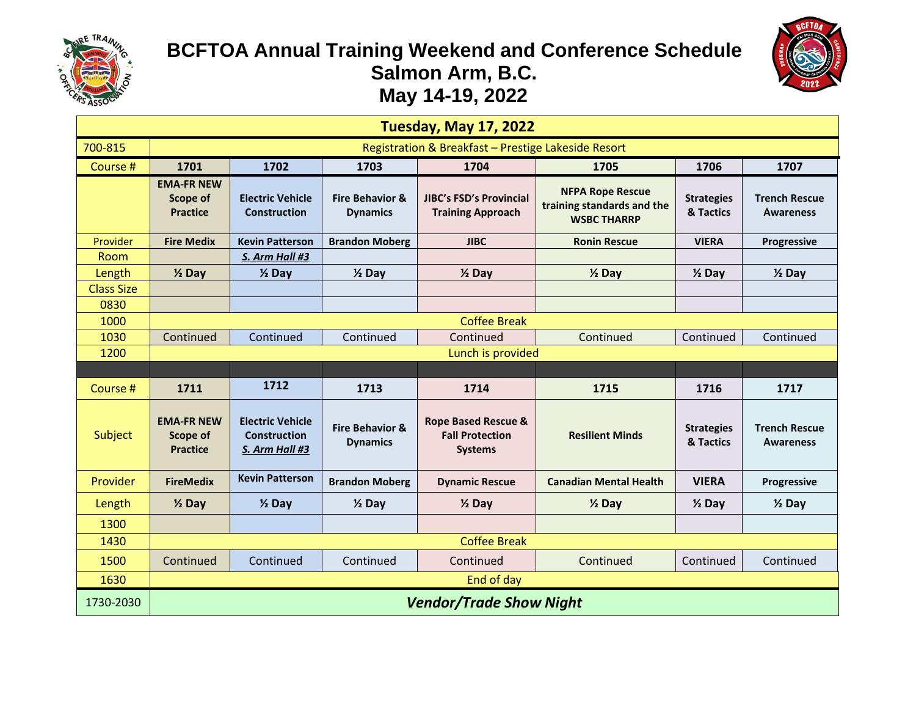



| <b>Tuesday, May 17, 2022</b> |                                                     |                                                                  |                                               |                                                                            |                                                                             |                                |                                          |  |  |  |  |
|------------------------------|-----------------------------------------------------|------------------------------------------------------------------|-----------------------------------------------|----------------------------------------------------------------------------|-----------------------------------------------------------------------------|--------------------------------|------------------------------------------|--|--|--|--|
| 700-815                      | Registration & Breakfast - Prestige Lakeside Resort |                                                                  |                                               |                                                                            |                                                                             |                                |                                          |  |  |  |  |
| Course #                     | 1701                                                | 1702                                                             | 1706                                          | 1707                                                                       |                                                                             |                                |                                          |  |  |  |  |
|                              | <b>EMA-FR NEW</b><br>Scope of<br><b>Practice</b>    | <b>Electric Vehicle</b><br><b>Construction</b>                   | <b>Fire Behavior &amp;</b><br><b>Dynamics</b> | <b>JIBC's FSD's Provincial</b><br><b>Training Approach</b>                 | <b>NFPA Rope Rescue</b><br>training standards and the<br><b>WSBC THARRP</b> | <b>Strategies</b><br>& Tactics | <b>Trench Rescue</b><br><b>Awareness</b> |  |  |  |  |
| Provider                     | <b>Fire Medix</b>                                   | <b>Kevin Patterson</b>                                           | <b>Brandon Moberg</b>                         | <b>JIBC</b>                                                                | <b>Ronin Rescue</b>                                                         | <b>VIERA</b>                   | Progressive                              |  |  |  |  |
| Room                         |                                                     | S. Arm Hall #3                                                   |                                               |                                                                            |                                                                             |                                |                                          |  |  |  |  |
| Length                       | $\frac{1}{2}$ Day                                   | $\frac{1}{2}$ Day                                                | $\frac{1}{2}$ Day                             | $\frac{1}{2}$ Day                                                          | $\frac{1}{2}$ Day                                                           | $\frac{1}{2}$ Day              | $\frac{1}{2}$ Day                        |  |  |  |  |
| <b>Class Size</b>            |                                                     |                                                                  |                                               |                                                                            |                                                                             |                                |                                          |  |  |  |  |
| 0830                         |                                                     |                                                                  |                                               |                                                                            |                                                                             |                                |                                          |  |  |  |  |
| 1000                         | <b>Coffee Break</b>                                 |                                                                  |                                               |                                                                            |                                                                             |                                |                                          |  |  |  |  |
| 1030                         | Continued                                           | Continued                                                        | Continued                                     | Continued                                                                  | Continued                                                                   | Continued                      | Continued                                |  |  |  |  |
| 1200                         |                                                     |                                                                  |                                               | Lunch is provided                                                          |                                                                             |                                |                                          |  |  |  |  |
|                              |                                                     |                                                                  |                                               |                                                                            |                                                                             |                                |                                          |  |  |  |  |
| Course #                     | 1711                                                | 1712                                                             | 1713                                          | 1714                                                                       | 1715                                                                        | 1716                           | 1717                                     |  |  |  |  |
| Subject                      | <b>EMA-FR NEW</b><br>Scope of<br><b>Practice</b>    | <b>Electric Vehicle</b><br><b>Construction</b><br>S. Arm Hall #3 | <b>Fire Behavior &amp;</b><br><b>Dynamics</b> | <b>Rope Based Rescue &amp;</b><br><b>Fall Protection</b><br><b>Systems</b> | <b>Resilient Minds</b>                                                      | <b>Strategies</b><br>& Tactics | <b>Trench Rescue</b><br><b>Awareness</b> |  |  |  |  |
| Provider                     | <b>FireMedix</b>                                    | <b>Kevin Patterson</b>                                           | <b>Brandon Moberg</b>                         | <b>Dynamic Rescue</b>                                                      | <b>Canadian Mental Health</b>                                               | <b>VIERA</b>                   | <b>Progressive</b>                       |  |  |  |  |
| Length                       | $\frac{1}{2}$ Day                                   | $\frac{1}{2}$ Day                                                | $\frac{1}{2}$ Day                             | $\frac{1}{2}$ Day                                                          | $\frac{1}{2}$ Day                                                           | $\frac{1}{2}$ Day              | $\frac{1}{2}$ Day                        |  |  |  |  |
| 1300                         |                                                     |                                                                  |                                               |                                                                            |                                                                             |                                |                                          |  |  |  |  |
| 1430                         |                                                     |                                                                  |                                               | <b>Coffee Break</b>                                                        |                                                                             |                                |                                          |  |  |  |  |
| 1500                         | Continued                                           | Continued                                                        | Continued                                     | Continued                                                                  | Continued                                                                   | Continued                      | Continued                                |  |  |  |  |
|                              |                                                     |                                                                  | End of day                                    |                                                                            |                                                                             |                                |                                          |  |  |  |  |
| 1630                         |                                                     |                                                                  |                                               |                                                                            |                                                                             |                                |                                          |  |  |  |  |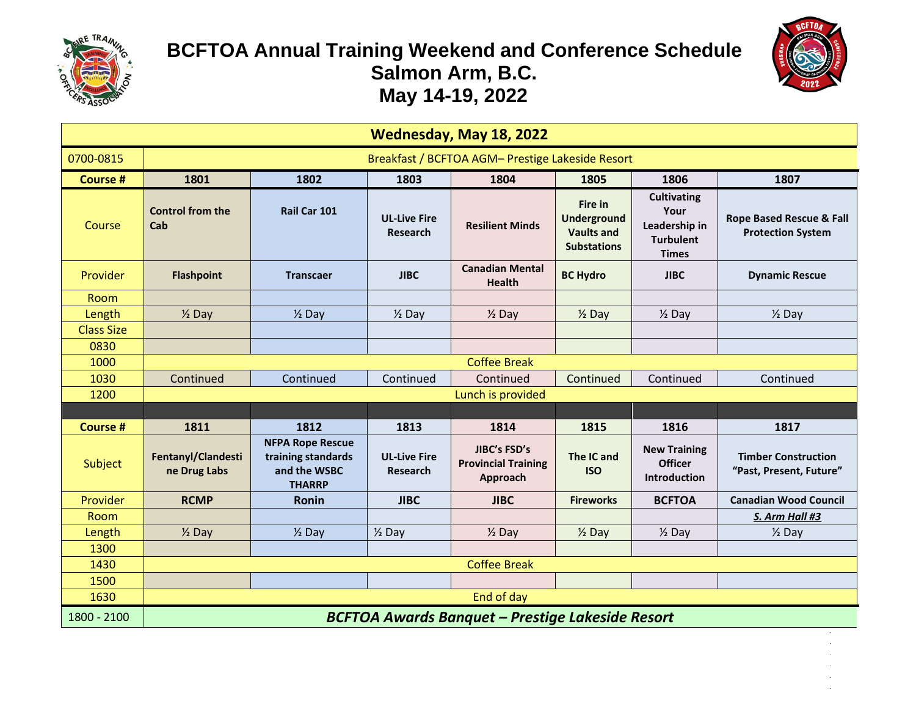



| Wednesday, May 18, 2022 |                                                         |                                                                                |                                        |                                                        |                                                                          |                                                                                 |                                                       |  |  |  |
|-------------------------|---------------------------------------------------------|--------------------------------------------------------------------------------|----------------------------------------|--------------------------------------------------------|--------------------------------------------------------------------------|---------------------------------------------------------------------------------|-------------------------------------------------------|--|--|--|
| 0700-0815               | Breakfast / BCFTOA AGM- Prestige Lakeside Resort        |                                                                                |                                        |                                                        |                                                                          |                                                                                 |                                                       |  |  |  |
| <b>Course #</b>         | 1801<br>1802<br>1803<br>1804<br>1805<br>1807<br>1806    |                                                                                |                                        |                                                        |                                                                          |                                                                                 |                                                       |  |  |  |
| Course                  | <b>Control from the</b><br>Cab                          | Rail Car 101                                                                   | <b>UL-Live Fire</b><br>Research        | <b>Resilient Minds</b>                                 | Fire in<br><b>Underground</b><br><b>Vaults and</b><br><b>Substations</b> | <b>Cultivating</b><br>Your<br>Leadership in<br><b>Turbulent</b><br><b>Times</b> | Rope Based Rescue & Fall<br><b>Protection System</b>  |  |  |  |
| Provider                | <b>Flashpoint</b>                                       | <b>Transcaer</b>                                                               | <b>JIBC</b>                            | <b>Canadian Mental</b><br><b>Health</b>                | <b>BC Hydro</b>                                                          | <b>JIBC</b>                                                                     | <b>Dynamic Rescue</b>                                 |  |  |  |
| Room                    |                                                         |                                                                                |                                        |                                                        |                                                                          |                                                                                 |                                                       |  |  |  |
| Length                  | $\frac{1}{2}$ Day                                       | $\frac{1}{2}$ Day                                                              | $\frac{1}{2}$ Day                      | $\frac{1}{2}$ Day                                      | $\frac{1}{2}$ Day                                                        | $\frac{1}{2}$ Day                                                               | $\frac{1}{2}$ Day                                     |  |  |  |
| <b>Class Size</b>       |                                                         |                                                                                |                                        |                                                        |                                                                          |                                                                                 |                                                       |  |  |  |
| 0830                    |                                                         |                                                                                |                                        |                                                        |                                                                          |                                                                                 |                                                       |  |  |  |
| 1000                    |                                                         |                                                                                |                                        | <b>Coffee Break</b>                                    |                                                                          |                                                                                 |                                                       |  |  |  |
| 1030                    | Continued                                               | Continued                                                                      | Continued                              | Continued                                              | Continued                                                                | Continued                                                                       | Continued                                             |  |  |  |
| 1200                    |                                                         |                                                                                |                                        | Lunch is provided                                      |                                                                          |                                                                                 |                                                       |  |  |  |
|                         |                                                         |                                                                                |                                        |                                                        |                                                                          |                                                                                 |                                                       |  |  |  |
| <b>Course#</b>          | 1811                                                    | 1812                                                                           | 1813                                   | 1814                                                   | 1815                                                                     | 1816                                                                            | 1817                                                  |  |  |  |
| Subject                 | Fentanyl/Clandesti<br>ne Drug Labs                      | <b>NFPA Rope Rescue</b><br>training standards<br>and the WSBC<br><b>THARRP</b> | <b>UL-Live Fire</b><br><b>Research</b> | JIBC's FSD's<br><b>Provincial Training</b><br>Approach | The IC and<br><b>ISO</b>                                                 | <b>New Training</b><br><b>Officer</b><br><b>Introduction</b>                    | <b>Timber Construction</b><br>"Past, Present, Future" |  |  |  |
| Provider                | <b>RCMP</b>                                             | <b>Ronin</b>                                                                   | <b>JIBC</b>                            | <b>JIBC</b>                                            | <b>Fireworks</b>                                                         | <b>BCFTOA</b>                                                                   | <b>Canadian Wood Council</b>                          |  |  |  |
| Room                    |                                                         |                                                                                |                                        |                                                        |                                                                          |                                                                                 | S. Arm Hall #3                                        |  |  |  |
| Length                  | $\frac{1}{2}$ Day                                       | $\frac{1}{2}$ Day                                                              | $\frac{1}{2}$ Day                      | $\frac{1}{2}$ Day                                      | $\frac{1}{2}$ Day                                                        | $\frac{1}{2}$ Day                                                               | $\frac{1}{2}$ Day                                     |  |  |  |
| 1300                    |                                                         |                                                                                |                                        |                                                        |                                                                          |                                                                                 |                                                       |  |  |  |
| 1430                    |                                                         |                                                                                |                                        | <b>Coffee Break</b>                                    |                                                                          |                                                                                 |                                                       |  |  |  |
| 1500                    |                                                         |                                                                                |                                        |                                                        |                                                                          |                                                                                 |                                                       |  |  |  |
| 1630                    | End of day                                              |                                                                                |                                        |                                                        |                                                                          |                                                                                 |                                                       |  |  |  |
| 1800 - 2100             | <b>BCFTOA Awards Banquet - Prestige Lakeside Resort</b> |                                                                                |                                        |                                                        |                                                                          |                                                                                 |                                                       |  |  |  |